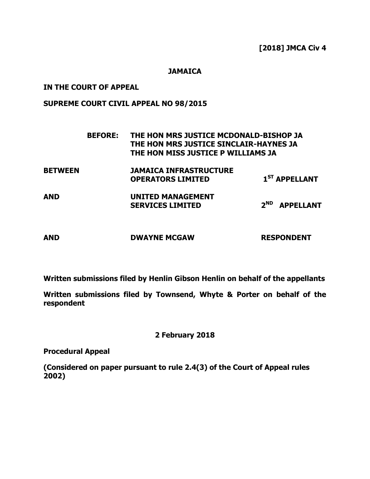**[2018] JMCA Civ 4**

**JAMAICA**

## **IN THE COURT OF APPEAL**

## **SUPREME COURT CIVIL APPEAL NO 98/2015**

|                | <b>BEFORE:</b> | THE HON MRS JUSTICE MCDONALD-BISHOP JA<br>THE HON MRS JUSTICE SINCLAIR-HAYNES JA<br>THE HON MISS JUSTICE P WILLIAMS JA |                              |
|----------------|----------------|------------------------------------------------------------------------------------------------------------------------|------------------------------|
| <b>BETWEEN</b> |                | <b>JAMAICA INFRASTRUCTURE</b><br><b>OPERATORS LIMITED</b>                                                              | 1 <sup>ST</sup> APPELLANT    |
| <b>AND</b>     |                | <b>UNITED MANAGEMENT</b><br><b>SERVICES LIMITED</b>                                                                    | $2^{ND}$<br><b>APPELLANT</b> |
| <b>AND</b>     |                | <b>DWAYNE MCGAW</b>                                                                                                    | <b>RESPONDENT</b>            |

**Written submissions filed by Henlin Gibson Henlin on behalf of the appellants**

**Written submissions filed by Townsend, Whyte & Porter on behalf of the respondent**

**2 February 2018**

**Procedural Appeal**

**(Considered on paper pursuant to rule 2.4(3) of the Court of Appeal rules 2002)**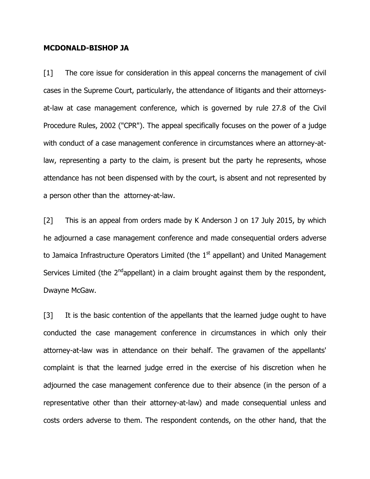#### **MCDONALD-BISHOP JA**

[1] The core issue for consideration in this appeal concerns the management of civil cases in the Supreme Court, particularly, the attendance of litigants and their attorneysat-law at case management conference, which is governed by rule 27.8 of the Civil Procedure Rules, 2002 ("CPR"). The appeal specifically focuses on the power of a judge with conduct of a case management conference in circumstances where an attorney-atlaw, representing a party to the claim, is present but the party he represents, whose attendance has not been dispensed with by the court, is absent and not represented by a person other than the attorney-at-law.

[2] This is an appeal from orders made by K Anderson J on 17 July 2015, by which he adjourned a case management conference and made consequential orders adverse to Jamaica Infrastructure Operators Limited (the 1<sup>st</sup> appellant) and United Management Services Limited (the  $2^{nd}$ appellant) in a claim brought against them by the respondent, Dwayne McGaw.

[3] It is the basic contention of the appellants that the learned judge ought to have conducted the case management conference in circumstances in which only their attorney-at-law was in attendance on their behalf. The gravamen of the appellants' complaint is that the learned judge erred in the exercise of his discretion when he adjourned the case management conference due to their absence (in the person of a representative other than their attorney-at-law) and made consequential unless and costs orders adverse to them. The respondent contends, on the other hand, that the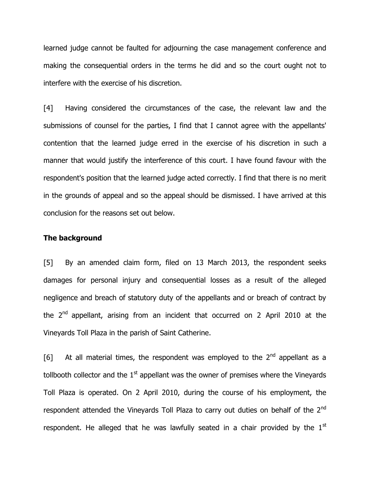learned judge cannot be faulted for adjourning the case management conference and making the consequential orders in the terms he did and so the court ought not to interfere with the exercise of his discretion.

[4] Having considered the circumstances of the case, the relevant law and the submissions of counsel for the parties, I find that I cannot agree with the appellants' contention that the learned judge erred in the exercise of his discretion in such a manner that would justify the interference of this court. I have found favour with the respondent's position that the learned judge acted correctly. I find that there is no merit in the grounds of appeal and so the appeal should be dismissed. I have arrived at this conclusion for the reasons set out below.

#### **The background**

[5] By an amended claim form, filed on 13 March 2013, the respondent seeks damages for personal injury and consequential losses as a result of the alleged negligence and breach of statutory duty of the appellants and or breach of contract by the  $2<sup>nd</sup>$  appellant, arising from an incident that occurred on 2 April 2010 at the Vineyards Toll Plaza in the parish of Saint Catherine.

[6] At all material times, the respondent was employed to the  $2<sup>nd</sup>$  appellant as a tollbooth collector and the  $1<sup>st</sup>$  appellant was the owner of premises where the Vineyards Toll Plaza is operated. On 2 April 2010, during the course of his employment, the respondent attended the Vineyards Toll Plaza to carry out duties on behalf of the 2<sup>nd</sup> respondent. He alleged that he was lawfully seated in a chair provided by the  $1<sup>st</sup>$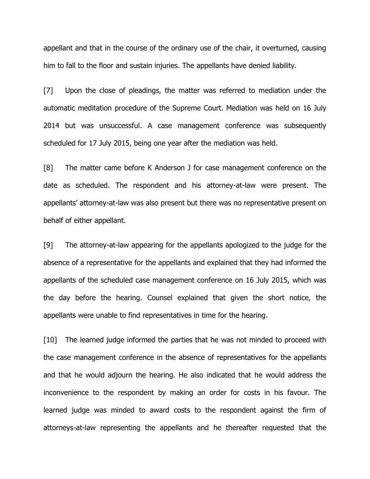appellant and that in the course of the ordinary use of the chair, it overturned, causing him to fall to the floor and sustain injuries. The appellants have denied liability.

[7] Upon the close of pleadings, the matter was referred to mediation under the automatic meditation procedure of the Supreme Court. Mediation was held on 16 July 2014 but was unsuccessful. A case management conference was subsequently scheduled for 17 July 2015, being one year after the mediation was held.

[8] The matter came before K Anderson J for case management conference on the date as scheduled. The respondent and his attorney-at-law were present. The appellants' attorney-at-law was also present but there was no representative present on behalf of either appellant.

[9] The attorney-at-law appearing for the appellants apologized to the judge for the absence of a representative for the appellants and explained that they had informed the appellants of the scheduled case management conference on 16 July 2015, which was the day before the hearing. Counsel explained that given the short notice, the appellants were unable to find representatives in time for the hearing.

[10] The learned judge informed the parties that he was not minded to proceed with the case management conference in the absence of representatives for the appellants and that he would adjourn the hearing. He also indicated that he would address the inconvenience to the respondent by making an order for costs in his favour. The learned judge was minded to award costs to the respondent against the firm of attorneys-at-law representing the appellants and he thereafter requested that the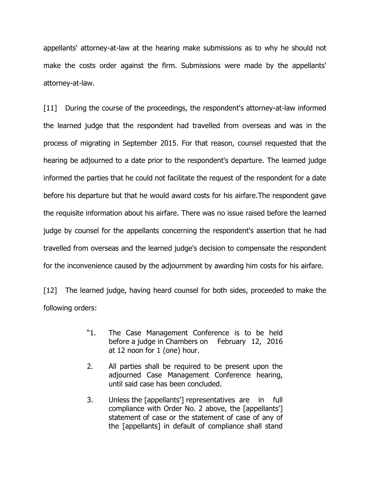appellants' attorney-at-law at the hearing make submissions as to why he should not make the costs order against the firm. Submissions were made by the appellants' attorney-at-law.

[11] During the course of the proceedings, the respondent's attorney-at-law informed the learned judge that the respondent had travelled from overseas and was in the process of migrating in September 2015. For that reason, counsel requested that the hearing be adjourned to a date prior to the respondent's departure. The learned judge informed the parties that he could not facilitate the request of the respondent for a date before his departure but that he would award costs for his airfare.The respondent gave the requisite information about his airfare. There was no issue raised before the learned judge by counsel for the appellants concerning the respondent's assertion that he had travelled from overseas and the learned judge's decision to compensate the respondent for the inconvenience caused by the adjournment by awarding him costs for his airfare.

[12] The learned judge, having heard counsel for both sides, proceeded to make the following orders:

- "1. The Case Management Conference is to be held before a judge in Chambers on February 12, 2016 at 12 noon for 1 (one) hour.
- 2. All parties shall be required to be present upon the adjourned Case Management Conference hearing, until said case has been concluded.
- 3. Unless the [appellants'] representatives are in full compliance with Order No. 2 above, the [appellants'] statement of case or the statement of case of any of the [appellants] in default of compliance shall stand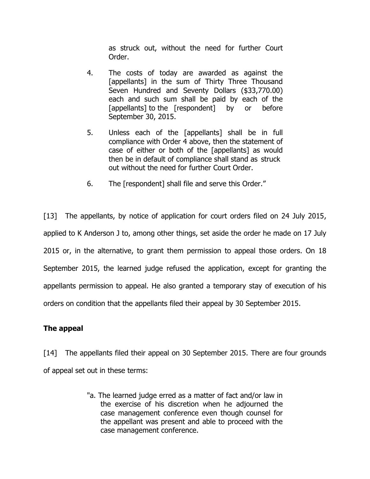as struck out, without the need for further Court Order.

- 4. The costs of today are awarded as against the [appellants] in the sum of Thirty Three Thousand Seven Hundred and Seventy Dollars (\$33,770.00) each and such sum shall be paid by each of the [appellants] to the [respondent] by or before September 30, 2015.
- 5. Unless each of the [appellants] shall be in full compliance with Order 4 above, then the statement of case of either or both of the [appellants] as would then be in default of compliance shall stand as struck out without the need for further Court Order.
- 6. The [respondent] shall file and serve this Order."

[13] The appellants, by notice of application for court orders filed on 24 July 2015, applied to K Anderson J to, among other things, set aside the order he made on 17 July 2015 or, in the alternative, to grant them permission to appeal those orders. On 18 September 2015, the learned judge refused the application, except for granting the appellants permission to appeal. He also granted a temporary stay of execution of his orders on condition that the appellants filed their appeal by 30 September 2015.

# **The appeal**

[14] The appellants filed their appeal on 30 September 2015. There are four grounds of appeal set out in these terms:

> "a. The learned judge erred as a matter of fact and/or law in the exercise of his discretion when he adjourned the case management conference even though counsel for the appellant was present and able to proceed with the case management conference.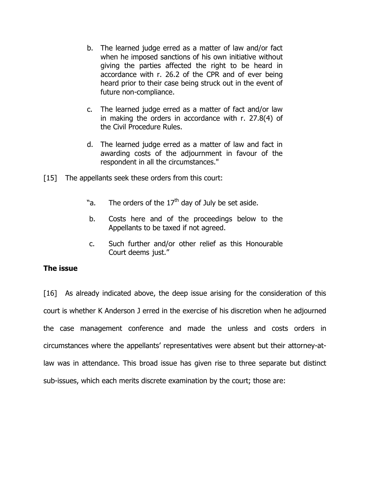- b. The learned judge erred as a matter of law and/or fact when he imposed sanctions of his own initiative without giving the parties affected the right to be heard in accordance with r. 26.2 of the CPR and of ever being heard prior to their case being struck out in the event of future non-compliance.
- c. The learned judge erred as a matter of fact and/or law in making the orders in accordance with r. 27.8(4) of the Civil Procedure Rules.
- d. The learned judge erred as a matter of law and fact in awarding costs of the adjournment in favour of the respondent in all the circumstances."
- [15] The appellants seek these orders from this court:
	- "a. The orders of the  $17<sup>th</sup>$  day of July be set aside.
	- b. Costs here and of the proceedings below to the Appellants to be taxed if not agreed.
	- c. Such further and/or other relief as this Honourable Court deems just."

# **The issue**

[16] As already indicated above, the deep issue arising for the consideration of this court is whether K Anderson J erred in the exercise of his discretion when he adjourned the case management conference and made the unless and costs orders in circumstances where the appellants' representatives were absent but their attorney-atlaw was in attendance. This broad issue has given rise to three separate but distinct sub-issues, which each merits discrete examination by the court; those are: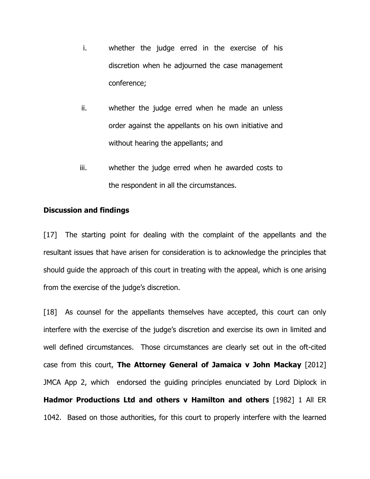- i. whether the judge erred in the exercise of his discretion when he adjourned the case management conference;
- ii. whether the judge erred when he made an unless order against the appellants on his own initiative and without hearing the appellants; and
- iii. whether the judge erred when he awarded costs to the respondent in all the circumstances.

#### **Discussion and findings**

[17] The starting point for dealing with the complaint of the appellants and the resultant issues that have arisen for consideration is to acknowledge the principles that should guide the approach of this court in treating with the appeal, which is one arising from the exercise of the judge's discretion.

[18] As counsel for the appellants themselves have accepted, this court can only interfere with the exercise of the judge's discretion and exercise its own in limited and well defined circumstances. Those circumstances are clearly set out in the oft-cited case from this court, **The Attorney General of Jamaica v John Mackay** [2012] JMCA App 2, which endorsed the guiding principles enunciated by Lord Diplock in **Hadmor Productions Ltd and others v Hamilton and others** [1982] 1 All ER 1042. Based on those authorities, for this court to properly interfere with the learned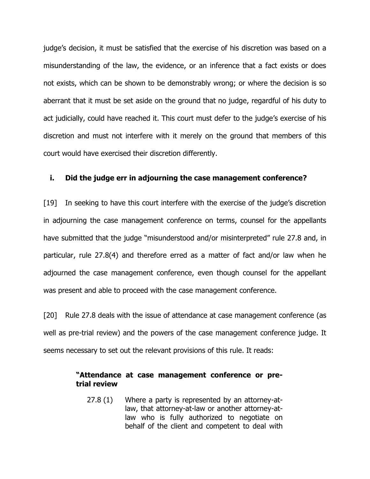judge's decision, it must be satisfied that the exercise of his discretion was based on a misunderstanding of the law, the evidence, or an inference that a fact exists or does not exists, which can be shown to be demonstrably wrong; or where the decision is so aberrant that it must be set aside on the ground that no judge, regardful of his duty to act judicially, could have reached it. This court must defer to the judge's exercise of his discretion and must not interfere with it merely on the ground that members of this court would have exercised their discretion differently.

#### **i. Did the judge err in adjourning the case management conference?**

[19] In seeking to have this court interfere with the exercise of the judge's discretion in adjourning the case management conference on terms, counsel for the appellants have submitted that the judge "misunderstood and/or misinterpreted" rule 27.8 and, in particular, rule 27.8(4) and therefore erred as a matter of fact and/or law when he adjourned the case management conference, even though counsel for the appellant was present and able to proceed with the case management conference.

[20] Rule 27.8 deals with the issue of attendance at case management conference (as well as pre-trial review) and the powers of the case management conference judge. It seems necessary to set out the relevant provisions of this rule. It reads:

#### **"Attendance at case management conference or pretrial review**

27.8 (1) Where a party is represented by an attorney-atlaw, that attorney-at-law or another attorney-atlaw who is fully authorized to negotiate on behalf of the client and competent to deal with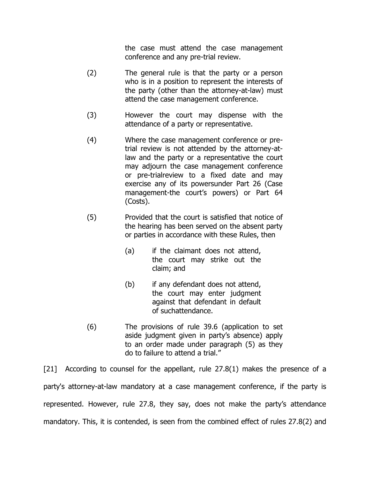the case must attend the case management conference and any pre-trial review.

- (2) The general rule is that the party or a person who is in a position to represent the interests of the party (other than the attorney-at-law) must attend the case management conference.
- (3) However the court may dispense with the attendance of a party or representative.
- (4) Where the case management conference or pretrial review is not attended by the attorney-atlaw and the party or a representative the court may adjourn the case management conference or pre-trialreview to a fixed date and may exercise any of its powersunder Part 26 (Case management-the court's powers) or Part 64 (Costs).
- (5) Provided that the court is satisfied that notice of the hearing has been served on the absent party or parties in accordance with these Rules, then
	- (a) if the claimant does not attend, the court may strike out the claim; and
	- (b) if any defendant does not attend, the court may enter judgment against that defendant in default of suchattendance.
- (6) The provisions of rule 39.6 (application to set aside judgment given in party's absence) apply to an order made under paragraph (5) as they do to failure to attend a trial."

[21] According to counsel for the appellant, rule 27.8(1) makes the presence of a party's attorney-at-law mandatory at a case management conference, if the party is represented. However, rule 27.8, they say, does not make the party's attendance mandatory. This, it is contended, is seen from the combined effect of rules 27.8(2) and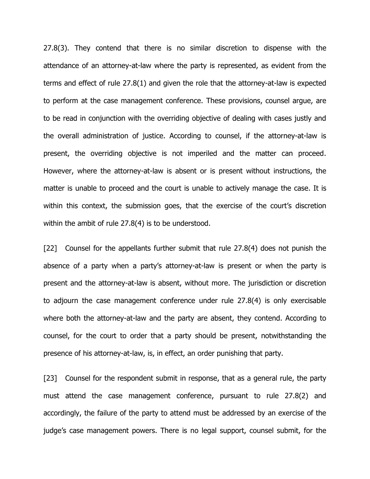27.8(3). They contend that there is no similar discretion to dispense with the attendance of an attorney-at-law where the party is represented, as evident from the terms and effect of rule 27.8(1) and given the role that the attorney-at-law is expected to perform at the case management conference. These provisions, counsel argue, are to be read in conjunction with the overriding objective of dealing with cases justly and the overall administration of justice. According to counsel, if the attorney-at-law is present, the overriding objective is not imperiled and the matter can proceed. However, where the attorney-at-law is absent or is present without instructions, the matter is unable to proceed and the court is unable to actively manage the case. It is within this context, the submission goes, that the exercise of the court's discretion within the ambit of rule 27.8(4) is to be understood.

[22] Counsel for the appellants further submit that rule 27.8(4) does not punish the absence of a party when a party's attorney-at-law is present or when the party is present and the attorney-at-law is absent, without more. The jurisdiction or discretion to adjourn the case management conference under rule 27.8(4) is only exercisable where both the attorney-at-law and the party are absent, they contend. According to counsel, for the court to order that a party should be present, notwithstanding the presence of his attorney-at-law, is, in effect, an order punishing that party.

[23] Counsel for the respondent submit in response, that as a general rule, the party must attend the case management conference, pursuant to rule 27.8(2) and accordingly, the failure of the party to attend must be addressed by an exercise of the judge's case management powers. There is no legal support, counsel submit, for the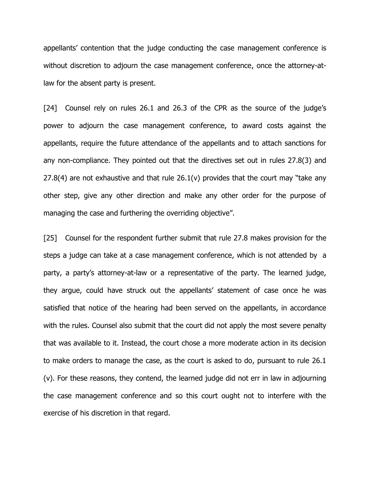appellants' contention that the judge conducting the case management conference is without discretion to adjourn the case management conference, once the attorney-atlaw for the absent party is present.

[24] Counsel rely on rules 26.1 and 26.3 of the CPR as the source of the judge's power to adjourn the case management conference, to award costs against the appellants, require the future attendance of the appellants and to attach sanctions for any non-compliance. They pointed out that the directives set out in rules 27.8(3) and 27.8(4) are not exhaustive and that rule  $26.1(v)$  provides that the court may "take any other step, give any other direction and make any other order for the purpose of managing the case and furthering the overriding objective".

[25] Counsel for the respondent further submit that rule 27.8 makes provision for the steps a judge can take at a case management conference, which is not attended by a party, a party's attorney-at-law or a representative of the party. The learned judge, they argue, could have struck out the appellants' statement of case once he was satisfied that notice of the hearing had been served on the appellants, in accordance with the rules. Counsel also submit that the court did not apply the most severe penalty that was available to it. Instead, the court chose a more moderate action in its decision to make orders to manage the case, as the court is asked to do, pursuant to rule 26.1 (v). For these reasons, they contend, the learned judge did not err in law in adjourning the case management conference and so this court ought not to interfere with the exercise of his discretion in that regard.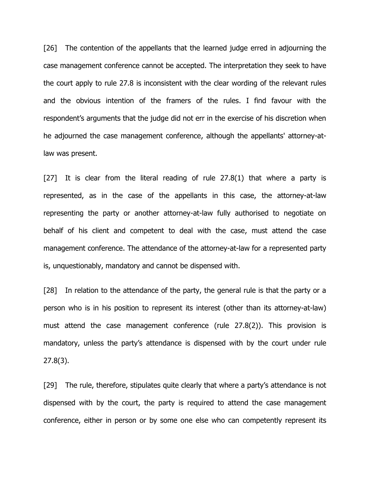[26] The contention of the appellants that the learned judge erred in adjourning the case management conference cannot be accepted. The interpretation they seek to have the court apply to rule 27.8 is inconsistent with the clear wording of the relevant rules and the obvious intention of the framers of the rules. I find favour with the respondent's arguments that the judge did not err in the exercise of his discretion when he adjourned the case management conference, although the appellants' attorney-atlaw was present.

[27] It is clear from the literal reading of rule 27.8(1) that where a party is represented, as in the case of the appellants in this case, the attorney-at-law representing the party or another attorney-at-law fully authorised to negotiate on behalf of his client and competent to deal with the case, must attend the case management conference. The attendance of the attorney-at-law for a represented party is, unquestionably, mandatory and cannot be dispensed with.

[28] In relation to the attendance of the party, the general rule is that the party or a person who is in his position to represent its interest (other than its attorney-at-law) must attend the case management conference (rule 27.8(2)). This provision is mandatory, unless the party's attendance is dispensed with by the court under rule 27.8(3).

[29] The rule, therefore, stipulates quite clearly that where a party's attendance is not dispensed with by the court, the party is required to attend the case management conference, either in person or by some one else who can competently represent its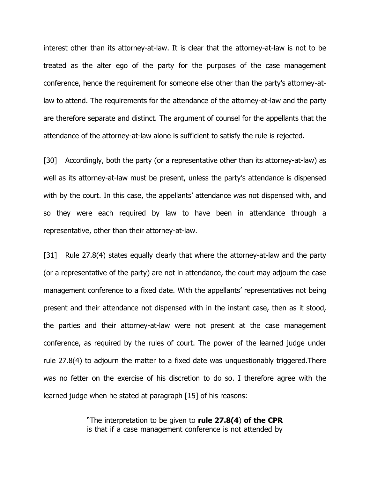interest other than its attorney-at-law. It is clear that the attorney-at-law is not to be treated as the alter ego of the party for the purposes of the case management conference, hence the requirement for someone else other than the party's attorney-atlaw to attend. The requirements for the attendance of the attorney-at-law and the party are therefore separate and distinct. The argument of counsel for the appellants that the attendance of the attorney-at-law alone is sufficient to satisfy the rule is rejected.

[30] Accordingly, both the party (or a representative other than its attorney-at-law) as well as its attorney-at-law must be present, unless the party's attendance is dispensed with by the court. In this case, the appellants' attendance was not dispensed with, and so they were each required by law to have been in attendance through a representative, other than their attorney-at-law.

[31] Rule 27.8(4) states equally clearly that where the attorney-at-law and the party (or a representative of the party) are not in attendance, the court may adjourn the case management conference to a fixed date. With the appellants' representatives not being present and their attendance not dispensed with in the instant case, then as it stood, the parties and their attorney-at-law were not present at the case management conference, as required by the rules of court. The power of the learned judge under rule 27.8(4) to adjourn the matter to a fixed date was unquestionably triggered.There was no fetter on the exercise of his discretion to do so. I therefore agree with the learned judge when he stated at paragraph [15] of his reasons:

> "The interpretation to be given to **rule 27.8(4**) **of the CPR** is that if a case management conference is not attended by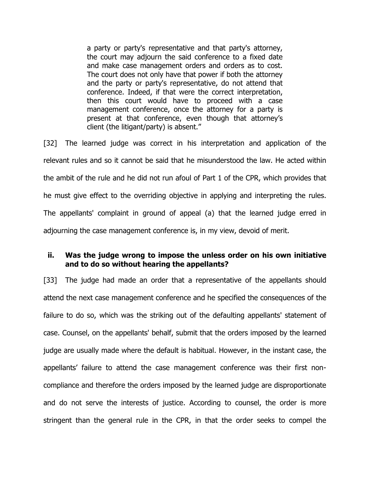a party or party's representative and that party's attorney, the court may adjourn the said conference to a fixed date and make case management orders and orders as to cost. The court does not only have that power if both the attorney and the party or party's representative, do not attend that conference. Indeed, if that were the correct interpretation, then this court would have to proceed with a case management conference, once the attorney for a party is present at that conference, even though that attorney's client (the litigant/party) is absent."

[32] The learned judge was correct in his interpretation and application of the relevant rules and so it cannot be said that he misunderstood the law. He acted within the ambit of the rule and he did not run afoul of Part 1 of the CPR, which provides that he must give effect to the overriding objective in applying and interpreting the rules. The appellants' complaint in ground of appeal (a) that the learned judge erred in adjourning the case management conference is, in my view, devoid of merit.

## **ii. Was the judge wrong to impose the unless order on his own initiative and to do so without hearing the appellants?**

[33] The judge had made an order that a representative of the appellants should attend the next case management conference and he specified the consequences of the failure to do so, which was the striking out of the defaulting appellants' statement of case. Counsel, on the appellants' behalf, submit that the orders imposed by the learned judge are usually made where the default is habitual. However, in the instant case, the appellants' failure to attend the case management conference was their first noncompliance and therefore the orders imposed by the learned judge are disproportionate and do not serve the interests of justice. According to counsel, the order is more stringent than the general rule in the CPR, in that the order seeks to compel the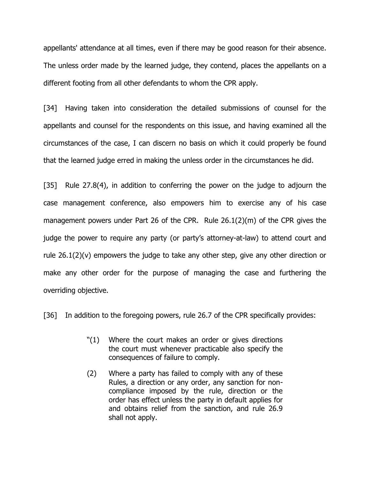appellants' attendance at all times, even if there may be good reason for their absence. The unless order made by the learned judge, they contend, places the appellants on a different footing from all other defendants to whom the CPR apply.

[34] Having taken into consideration the detailed submissions of counsel for the appellants and counsel for the respondents on this issue, and having examined all the circumstances of the case, I can discern no basis on which it could properly be found that the learned judge erred in making the unless order in the circumstances he did.

[35] Rule 27.8(4), in addition to conferring the power on the judge to adjourn the case management conference, also empowers him to exercise any of his case management powers under Part 26 of the CPR. Rule 26.1(2)(m) of the CPR gives the judge the power to require any party (or party's attorney-at-law) to attend court and rule 26.1(2)(v) empowers the judge to take any other step, give any other direction or make any other order for the purpose of managing the case and furthering the overriding objective.

[36] In addition to the foregoing powers, rule 26.7 of the CPR specifically provides:

- "(1) Where the court makes an order or gives directions the court must whenever practicable also specify the consequences of failure to comply.
- (2) Where a party has failed to comply with any of these Rules, a direction or any order, any sanction for noncompliance imposed by the rule, direction or the order has effect unless the party in default applies for and obtains relief from the sanction, and rule 26.9 shall not apply.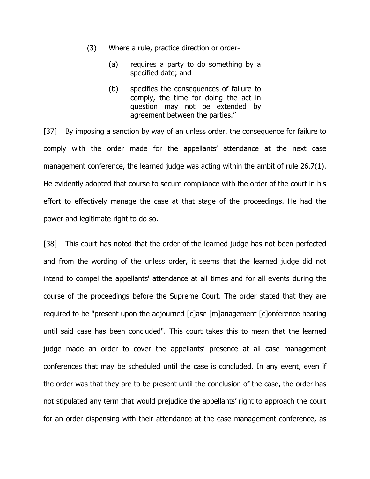- (3) Where a rule, practice direction or order-
	- (a) requires a party to do something by a specified date; and
	- (b) specifies the consequences of failure to comply, the time for doing the act in question may not be extended by agreement between the parties."

[37] By imposing a sanction by way of an unless order, the consequence for failure to comply with the order made for the appellants' attendance at the next case management conference, the learned judge was acting within the ambit of rule 26.7(1). He evidently adopted that course to secure compliance with the order of the court in his effort to effectively manage the case at that stage of the proceedings. He had the power and legitimate right to do so.

[38] This court has noted that the order of the learned judge has not been perfected and from the wording of the unless order, it seems that the learned judge did not intend to compel the appellants' attendance at all times and for all events during the course of the proceedings before the Supreme Court. The order stated that they are required to be "present upon the adjourned [c]ase [m]anagement [c]onference hearing until said case has been concluded". This court takes this to mean that the learned judge made an order to cover the appellants' presence at all case management conferences that may be scheduled until the case is concluded. In any event, even if the order was that they are to be present until the conclusion of the case, the order has not stipulated any term that would prejudice the appellants' right to approach the court for an order dispensing with their attendance at the case management conference, as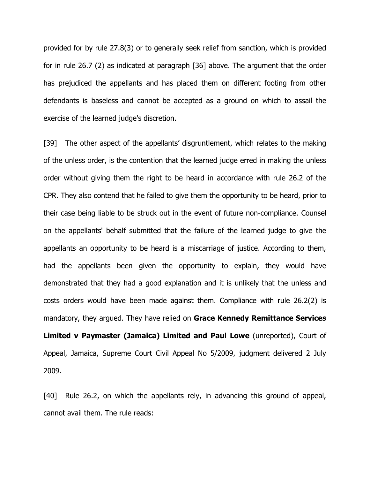provided for by rule 27.8(3) or to generally seek relief from sanction, which is provided for in rule 26.7 (2) as indicated at paragraph [36] above. The argument that the order has prejudiced the appellants and has placed them on different footing from other defendants is baseless and cannot be accepted as a ground on which to assail the exercise of the learned judge's discretion.

[39] The other aspect of the appellants' disgruntlement, which relates to the making of the unless order, is the contention that the learned judge erred in making the unless order without giving them the right to be heard in accordance with rule 26.2 of the CPR. They also contend that he failed to give them the opportunity to be heard, prior to their case being liable to be struck out in the event of future non-compliance. Counsel on the appellants' behalf submitted that the failure of the learned judge to give the appellants an opportunity to be heard is a miscarriage of justice. According to them, had the appellants been given the opportunity to explain, they would have demonstrated that they had a good explanation and it is unlikely that the unless and costs orders would have been made against them. Compliance with rule 26.2(2) is mandatory, they argued. They have relied on **Grace Kennedy Remittance Services Limited v Paymaster (Jamaica) Limited and Paul Lowe** (unreported), Court of Appeal, Jamaica, Supreme Court Civil Appeal No 5/2009, judgment delivered 2 July

[40] Rule 26.2, on which the appellants rely, in advancing this ground of appeal, cannot avail them. The rule reads:

2009.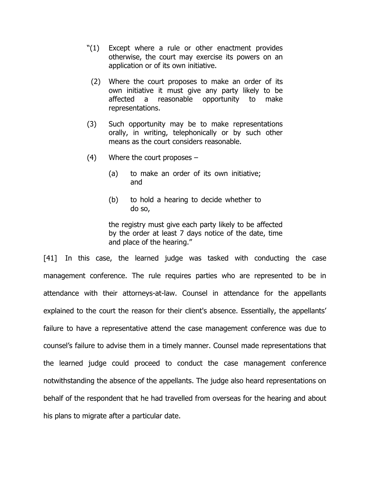- "(1) Except where a rule or other enactment provides otherwise, the court may exercise its powers on an application or of its own initiative.
	- (2) Where the court proposes to make an order of its own initiative it must give any party likely to be affected a reasonable opportunity to make representations.
- (3) Such opportunity may be to make representations orally, in writing, telephonically or by such other means as the court considers reasonable.
- (4) Where the court proposes
	- (a) to make an order of its own initiative; and
	- (b) to hold a hearing to decide whether to do so,

the registry must give each party likely to be affected by the order at least 7 days notice of the date, time and place of the hearing."

[41] In this case, the learned judge was tasked with conducting the case management conference. The rule requires parties who are represented to be in attendance with their attorneys-at-law. Counsel in attendance for the appellants explained to the court the reason for their client's absence. Essentially, the appellants' failure to have a representative attend the case management conference was due to counsel's failure to advise them in a timely manner. Counsel made representations that the learned judge could proceed to conduct the case management conference notwithstanding the absence of the appellants. The judge also heard representations on behalf of the respondent that he had travelled from overseas for the hearing and about his plans to migrate after a particular date.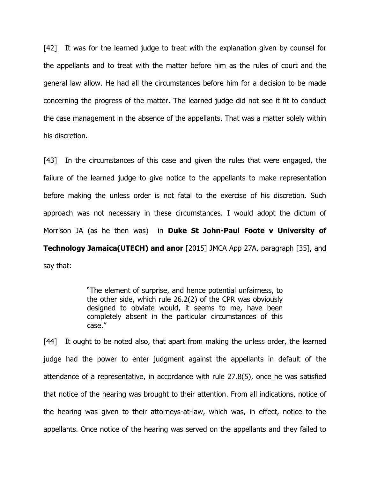[42] It was for the learned judge to treat with the explanation given by counsel for the appellants and to treat with the matter before him as the rules of court and the general law allow. He had all the circumstances before him for a decision to be made concerning the progress of the matter. The learned judge did not see it fit to conduct the case management in the absence of the appellants. That was a matter solely within his discretion.

[43] In the circumstances of this case and given the rules that were engaged, the failure of the learned judge to give notice to the appellants to make representation before making the unless order is not fatal to the exercise of his discretion. Such approach was not necessary in these circumstances. I would adopt the dictum of Morrison JA (as he then was) in **Duke St John-Paul Foote v University of Technology Jamaica(UTECH) and anor** [2015] JMCA App 27A, paragraph [35], and say that:

> "The element of surprise, and hence potential unfairness, to the other side, which rule 26.2(2) of the CPR was obviously designed to obviate would, it seems to me, have been completely absent in the particular circumstances of this case."

[44] It ought to be noted also, that apart from making the unless order, the learned judge had the power to enter judgment against the appellants in default of the attendance of a representative, in accordance with rule 27.8(5), once he was satisfied that notice of the hearing was brought to their attention. From all indications, notice of the hearing was given to their attorneys-at-law, which was, in effect, notice to the appellants. Once notice of the hearing was served on the appellants and they failed to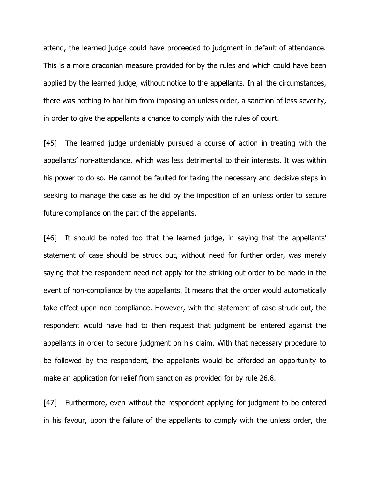attend, the learned judge could have proceeded to judgment in default of attendance. This is a more draconian measure provided for by the rules and which could have been applied by the learned judge, without notice to the appellants. In all the circumstances, there was nothing to bar him from imposing an unless order, a sanction of less severity, in order to give the appellants a chance to comply with the rules of court.

[45] The learned judge undeniably pursued a course of action in treating with the appellants' non-attendance, which was less detrimental to their interests. It was within his power to do so. He cannot be faulted for taking the necessary and decisive steps in seeking to manage the case as he did by the imposition of an unless order to secure future compliance on the part of the appellants.

[46] It should be noted too that the learned judge, in saying that the appellants' statement of case should be struck out, without need for further order, was merely saying that the respondent need not apply for the striking out order to be made in the event of non-compliance by the appellants. It means that the order would automatically take effect upon non-compliance. However, with the statement of case struck out, the respondent would have had to then request that judgment be entered against the appellants in order to secure judgment on his claim. With that necessary procedure to be followed by the respondent, the appellants would be afforded an opportunity to make an application for relief from sanction as provided for by rule 26.8.

[47] Furthermore, even without the respondent applying for judgment to be entered in his favour, upon the failure of the appellants to comply with the unless order, the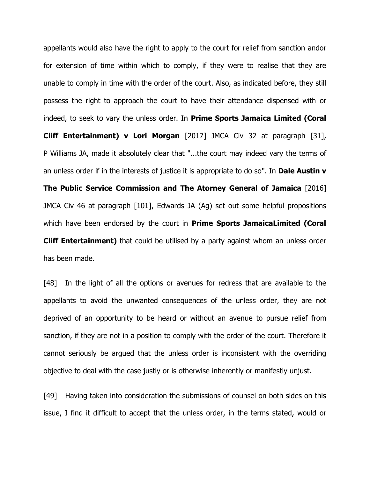appellants would also have the right to apply to the court for relief from sanction andor for extension of time within which to comply, if they were to realise that they are unable to comply in time with the order of the court. Also, as indicated before, they still possess the right to approach the court to have their attendance dispensed with or indeed, to seek to vary the unless order. In **Prime Sports Jamaica Limited (Coral Cliff Entertainment) v Lori Morgan** [2017] JMCA Civ 32 at paragraph [31], P Williams JA, made it absolutely clear that "...the court may indeed vary the terms of an unless order if in the interests of justice it is appropriate to do so". In **Dale Austin v The Public Service Commission and The Atorney General of Jamaica** [2016] JMCA Civ 46 at paragraph [101], Edwards JA (Ag) set out some helpful propositions which have been endorsed by the court in **Prime Sports JamaicaLimited (Coral Cliff Entertainment)** that could be utilised by a party against whom an unless order has been made.

[48] In the light of all the options or avenues for redress that are available to the appellants to avoid the unwanted consequences of the unless order, they are not deprived of an opportunity to be heard or without an avenue to pursue relief from sanction, if they are not in a position to comply with the order of the court. Therefore it cannot seriously be argued that the unless order is inconsistent with the overriding objective to deal with the case justly or is otherwise inherently or manifestly unjust.

[49] Having taken into consideration the submissions of counsel on both sides on this issue, I find it difficult to accept that the unless order, in the terms stated, would or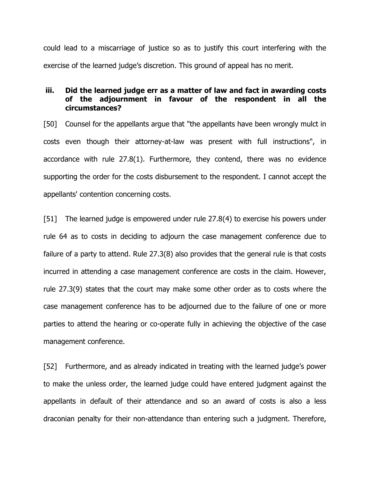could lead to a miscarriage of justice so as to justify this court interfering with the exercise of the learned judge's discretion. This ground of appeal has no merit.

## **iii. Did the learned judge err as a matter of law and fact in awarding costs of the adjournment in favour of the respondent in all the circumstances?**

[50] Counsel for the appellants argue that "the appellants have been wrongly mulct in costs even though their attorney-at-law was present with full instructions", in accordance with rule 27.8(1). Furthermore, they contend, there was no evidence supporting the order for the costs disbursement to the respondent. I cannot accept the appellants' contention concerning costs.

[51] The learned judge is empowered under rule 27.8(4) to exercise his powers under rule 64 as to costs in deciding to adjourn the case management conference due to failure of a party to attend. Rule 27.3(8) also provides that the general rule is that costs incurred in attending a case management conference are costs in the claim. However, rule 27.3(9) states that the court may make some other order as to costs where the case management conference has to be adjourned due to the failure of one or more parties to attend the hearing or co-operate fully in achieving the objective of the case management conference.

[52] Furthermore, and as already indicated in treating with the learned judge's power to make the unless order, the learned judge could have entered judgment against the appellants in default of their attendance and so an award of costs is also a less draconian penalty for their non-attendance than entering such a judgment. Therefore,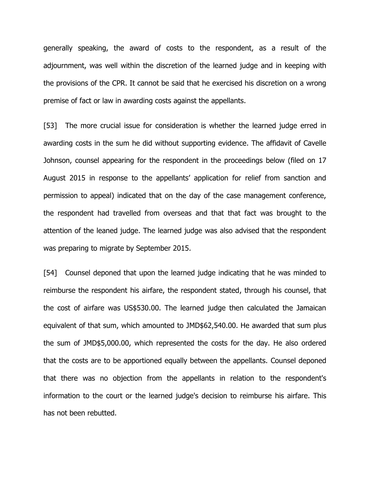generally speaking, the award of costs to the respondent, as a result of the adjournment, was well within the discretion of the learned judge and in keeping with the provisions of the CPR. It cannot be said that he exercised his discretion on a wrong premise of fact or law in awarding costs against the appellants.

[53] The more crucial issue for consideration is whether the learned judge erred in awarding costs in the sum he did without supporting evidence. The affidavit of Cavelle Johnson, counsel appearing for the respondent in the proceedings below (filed on 17 August 2015 in response to the appellants' application for relief from sanction and permission to appeal) indicated that on the day of the case management conference, the respondent had travelled from overseas and that that fact was brought to the attention of the leaned judge. The learned judge was also advised that the respondent was preparing to migrate by September 2015.

[54] Counsel deponed that upon the learned judge indicating that he was minded to reimburse the respondent his airfare, the respondent stated, through his counsel, that the cost of airfare was US\$530.00. The learned judge then calculated the Jamaican equivalent of that sum, which amounted to JMD\$62,540.00. He awarded that sum plus the sum of JMD\$5,000.00, which represented the costs for the day. He also ordered that the costs are to be apportioned equally between the appellants. Counsel deponed that there was no objection from the appellants in relation to the respondent's information to the court or the learned judge's decision to reimburse his airfare. This has not been rebutted.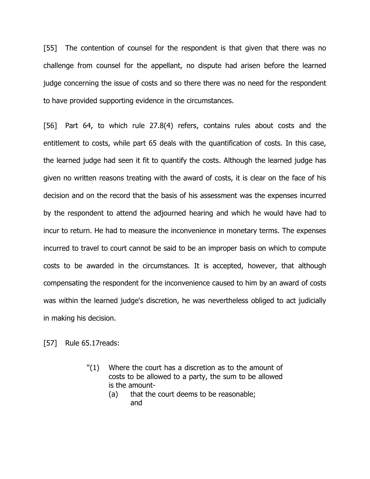[55] The contention of counsel for the respondent is that given that there was no challenge from counsel for the appellant, no dispute had arisen before the learned judge concerning the issue of costs and so there there was no need for the respondent to have provided supporting evidence in the circumstances.

[56] Part 64, to which rule 27.8(4) refers, contains rules about costs and the entitlement to costs, while part 65 deals with the quantification of costs. In this case, the learned judge had seen it fit to quantify the costs. Although the learned judge has given no written reasons treating with the award of costs, it is clear on the face of his decision and on the record that the basis of his assessment was the expenses incurred by the respondent to attend the adjourned hearing and which he would have had to incur to return. He had to measure the inconvenience in monetary terms. The expenses incurred to travel to court cannot be said to be an improper basis on which to compute costs to be awarded in the circumstances. It is accepted, however, that although compensating the respondent for the inconvenience caused to him by an award of costs was within the learned judge's discretion, he was nevertheless obliged to act judicially in making his decision.

[57] Rule 65.17reads:

- "(1) Where the court has a discretion as to the amount of costs to be allowed to a party, the sum to be allowed is the amount-
	- (a) that the court deems to be reasonable; and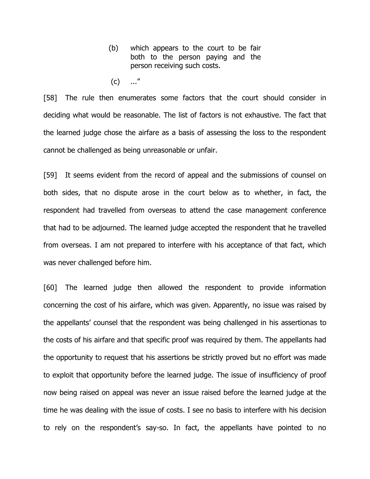- (b) which appears to the court to be fair both to the person paying and the person receiving such costs.
- $(c)$  ..."

[58] The rule then enumerates some factors that the court should consider in deciding what would be reasonable. The list of factors is not exhaustive. The fact that the learned judge chose the airfare as a basis of assessing the loss to the respondent cannot be challenged as being unreasonable or unfair.

[59] It seems evident from the record of appeal and the submissions of counsel on both sides, that no dispute arose in the court below as to whether, in fact, the respondent had travelled from overseas to attend the case management conference that had to be adjourned. The learned judge accepted the respondent that he travelled from overseas. I am not prepared to interfere with his acceptance of that fact, which was never challenged before him.

[60] The learned judge then allowed the respondent to provide information concerning the cost of his airfare, which was given. Apparently, no issue was raised by the appellants' counsel that the respondent was being challenged in his assertionas to the costs of his airfare and that specific proof was required by them. The appellants had the opportunity to request that his assertions be strictly proved but no effort was made to exploit that opportunity before the learned judge. The issue of insufficiency of proof now being raised on appeal was never an issue raised before the learned judge at the time he was dealing with the issue of costs. I see no basis to interfere with his decision to rely on the respondent's say-so. In fact, the appellants have pointed to no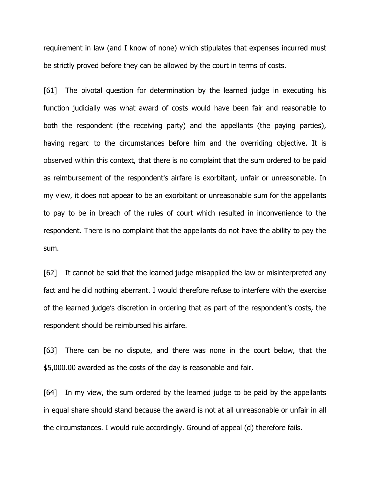requirement in law (and I know of none) which stipulates that expenses incurred must be strictly proved before they can be allowed by the court in terms of costs.

[61] The pivotal question for determination by the learned judge in executing his function judicially was what award of costs would have been fair and reasonable to both the respondent (the receiving party) and the appellants (the paying parties), having regard to the circumstances before him and the overriding objective. It is observed within this context, that there is no complaint that the sum ordered to be paid as reimbursement of the respondent's airfare is exorbitant, unfair or unreasonable. In my view, it does not appear to be an exorbitant or unreasonable sum for the appellants to pay to be in breach of the rules of court which resulted in inconvenience to the respondent. There is no complaint that the appellants do not have the ability to pay the sum.

[62] It cannot be said that the learned judge misapplied the law or misinterpreted any fact and he did nothing aberrant. I would therefore refuse to interfere with the exercise of the learned judge's discretion in ordering that as part of the respondent's costs, the respondent should be reimbursed his airfare.

[63] There can be no dispute, and there was none in the court below, that the \$5,000.00 awarded as the costs of the day is reasonable and fair.

[64] In my view, the sum ordered by the learned judge to be paid by the appellants in equal share should stand because the award is not at all unreasonable or unfair in all the circumstances. I would rule accordingly. Ground of appeal (d) therefore fails.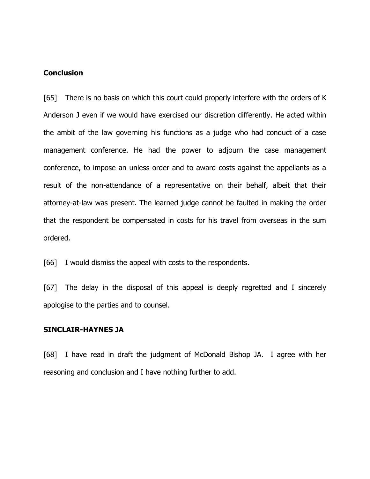#### **Conclusion**

[65] There is no basis on which this court could properly interfere with the orders of K Anderson J even if we would have exercised our discretion differently. He acted within the ambit of the law governing his functions as a judge who had conduct of a case management conference. He had the power to adjourn the case management conference, to impose an unless order and to award costs against the appellants as a result of the non-attendance of a representative on their behalf, albeit that their attorney-at-law was present. The learned judge cannot be faulted in making the order that the respondent be compensated in costs for his travel from overseas in the sum ordered.

[66] I would dismiss the appeal with costs to the respondents.

[67] The delay in the disposal of this appeal is deeply regretted and I sincerely apologise to the parties and to counsel.

### **SINCLAIR-HAYNES JA**

[68] I have read in draft the judgment of McDonald Bishop JA. I agree with her reasoning and conclusion and I have nothing further to add.